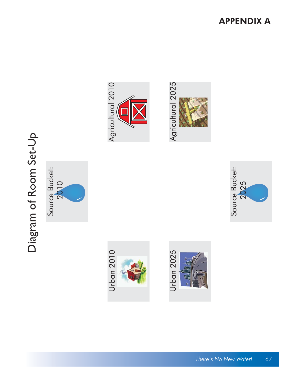# Diagram of Room Set-Up Diagram of Room Set-Up





Agricultural 2010

Agricultural 2010







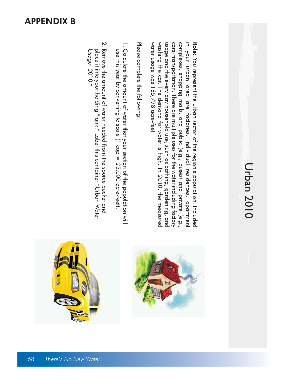## **Urban 2010** Urban 2010

washing the car. The demand for water is high. In 2010, the measured usage and the every day household use, such as bathing, gardening, and water usage was 165,798 acre-feet. water usage was 165,798 acre-feet. washing the car. The demand for water is high. In 2010, the measured cars) transportation. There are multiple uses for the water including factory complexes, shopping malls, and public (e.g., buses) and private (e.g., in your urban area are factories, individual residences, apartment Role: You represent the urban sector of the region's population. Included usage and the every day household use, such as bathing, gardening, and cars) transportation. There are multiple uses for the water including factory complexes, shopping malls, and public (e.g., buses) and private (e.g., in your urban area are factories, individual residences, apartment You represent the urban sector of the region's population. Included

Please complete the following: Please complete the following:

- use this year by converting to scale (1 cup = 25,000 acre-feet). 1. Calculate the amount of water that your section of the population will 1. Calculate the amount of water that your section of the population will use this year by converting to scale  $(1 \text{ cup} = 25,000 \text{ acre-feet})$ .
- 2. Remove the amount of water needed from the source pucket and Usage: 2010." place it into your holding "tank." Label this container "Urban Water 2. Remove the amount of water needed from the source bucket and Usage: 2010." place it into your holding "tank." Label this container "Urban Water



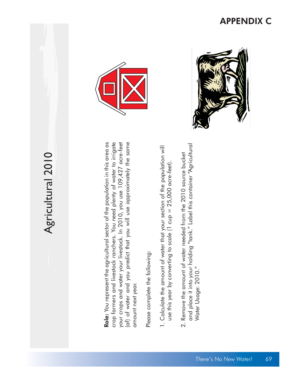## Agricultural 2010 Agricultural 2010

Role: You represent the agricultural sector of the population in this area as crop farmers and livestock ranchers. You need plenty of water to irrigate your crops and water your livestock. In 2010, you use 109,427 acre-feet (af) of water and you predict that you will use approximately the same Role: You represent the agricultural sector of the population in this area as crop farmers and livestock ranchers. You need plenty of water to irrigate your crops and water your livestock. In 2010, you use 109,427 acre-feet (af) of water and you predict that you will use approximately the same amount next year. amount next year.

Please complete the following: Please complete the following:

- 1. Calculate the amount of water that your section of the population will 1. Calculate the amount of water that your section of the population will use this year by converting to scale (1 cup = 25,000 acre-feet). use this year by converting to scale (1 cup = 25,000 acre-feet).
- and place it into your holding "tank." Label this container "Agricultural and place it into your holding "tank." Label this container "Agricultural 2. Remove the amount of water needed from the 2010 source bucket 2. Remove the amount of water needed from the 2010 source bucket Water Usage: 2010." Water Usage: 2010."





#### APPENDIX C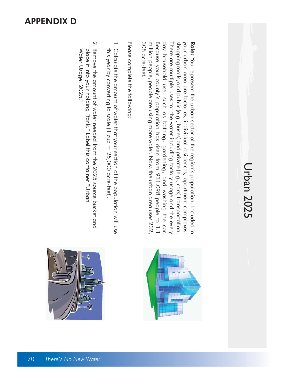## Urban 2025 Urban 2025

308 acre-feet. million people, people are using more water. Now, the urban area uses 232 Because your county's population has risen from 931,098 people to 1.1 day household use, such as bathing, gardening, and washing the car shopping malls, and public (e.g., buses) and private (e.g., cars) transportation. your urban area are factories, individual residences, apartment complexes 308 acre-feet. million people, people are using more water. Now, the urban area uses 232, day household use, such as bathing, gardening, and washing the car. There are multiple uses for the water including factory usage and the every There are multiple uses for the water including factory usage and the every shopping malls, and public (e.g., buses) and private (e.g., cars) transportation. your urban area are factories, individual residences, apartment complexes, Role: You represent the urban sector of the region's population. Included in Because your county's population has risen from 931,098 people to 1.1 You represent the urban sector of the region's population. Included in

Please complete the following: Please complete the following:

- this year by converting to scale (1 cup = 25,000 acre-feet). 1. Calculate the amount of the population of the population will use 1. Calculate the amount of water that your section of the population will use this year by converting to scale (1 cup = 25,000 acre-feet).
- 2. Remove the amount of water needed from the 2025 source bucket and Water Usage: 2025." place it into your holding "tank." Label this container "Urban 2. Remove the amount of water needed from the 2025 source bucket and Water Usage: 2025." place it into your holding "tank." Label this container "Urban